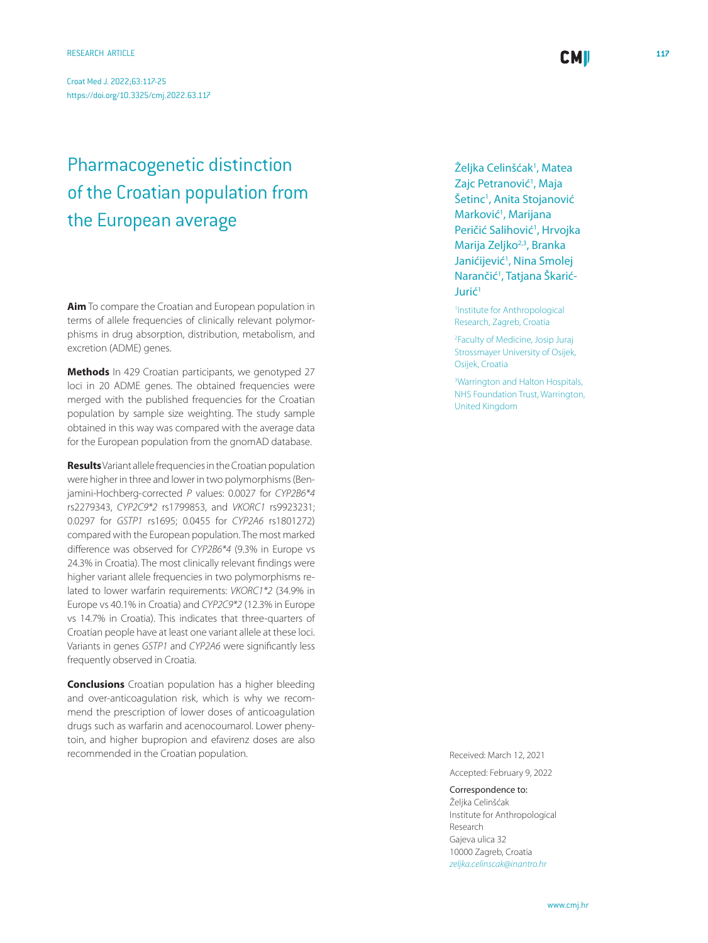Croat Med J. 2022;63:117-25 <https://doi.org/10.3325/cmj.2022.63.117>

# Pharmacogenetic distinction of the Croatian population from the European average

**Aim** To compare the Croatian and European population in terms of allele frequencies of clinically relevant polymorphisms in drug absorption, distribution, metabolism, and excretion (ADME) genes.

**Methods** In 429 Croatian participants, we genotyped 27 loci in 20 ADME genes. The obtained frequencies were merged with the published frequencies for the Croatian population by sample size weighting. The study sample obtained in this way was compared with the average data for the European population from the gnomAD database.

**Results** Variant allele frequencies in the Croatian population were higher in three and lower in two polymorphisms (Benjamini-Hochberg-corrected *P* values: 0.0027 for *CYP2B6\*4* rs2279343, *CYP2C9\*2* rs1799853, and *VKORC1* rs9923231; 0.0297 for *GSTP1* rs1695; 0.0455 for *CYP2A6* rs1801272) compared with the European population. The most marked difference was observed for *CYP2B6\*4* (9.3% in Europe vs 24.3% in Croatia). The most clinically relevant findings were higher variant allele frequencies in two polymorphisms related to lower warfarin requirements: *VKORC1\*2* (34.9% in Europe vs 40.1% in Croatia) and *CYP2C9\*2* (12.3% in Europe vs 14.7% in Croatia). This indicates that three-quarters of Croatian people have at least one variant allele at these loci. Variants in genes *GSTP1* and *CYP2A6* were significantly less frequently observed in Croatia.

**Conclusions** Croatian population has a higher bleeding and over-anticoagulation risk, which is why we recommend the prescription of lower doses of anticoagulation drugs such as warfarin and acenocoumarol. Lower phenytoin, and higher bupropion and efavirenz doses are also recommended in the Croatian population. The Croatian population and the Croatian population.

Željka Celinšćak<sup>1</sup>, Matea Zajc Petranović<sup>1</sup>, Maja Šetinc<sup>1</sup>, Anita Stojanović Marković<sup>1</sup>, Marijana Peričić Salihović<sup>1</sup>, Hrvojka Marija Zeljko<sup>2,3</sup>, Branka Janićijević<sup>1</sup>, Nina Smolej Narančić<sup>1</sup>, Tatjana Škarić-Jurić1

1 Institute for Anthropological Research, Zagreb, Croatia

2 Faculty of Medicine, Josip Juraj Strossmayer University of Osijek, Osijek, Croatia

3 Warrington and Halton Hospitals, NHS Foundation Trust, Warrington, United Kingdom

Accepted: February 9, 2022

Correspondence to:

Željka Celinšćak Institute for Anthropological Research Gajeva ulica 32 10000 Zagreb, Croatia *[zeljka.celinscak@inantro.hr](mailto: zeljka.celinscak@inantro.hr)*

**CMI**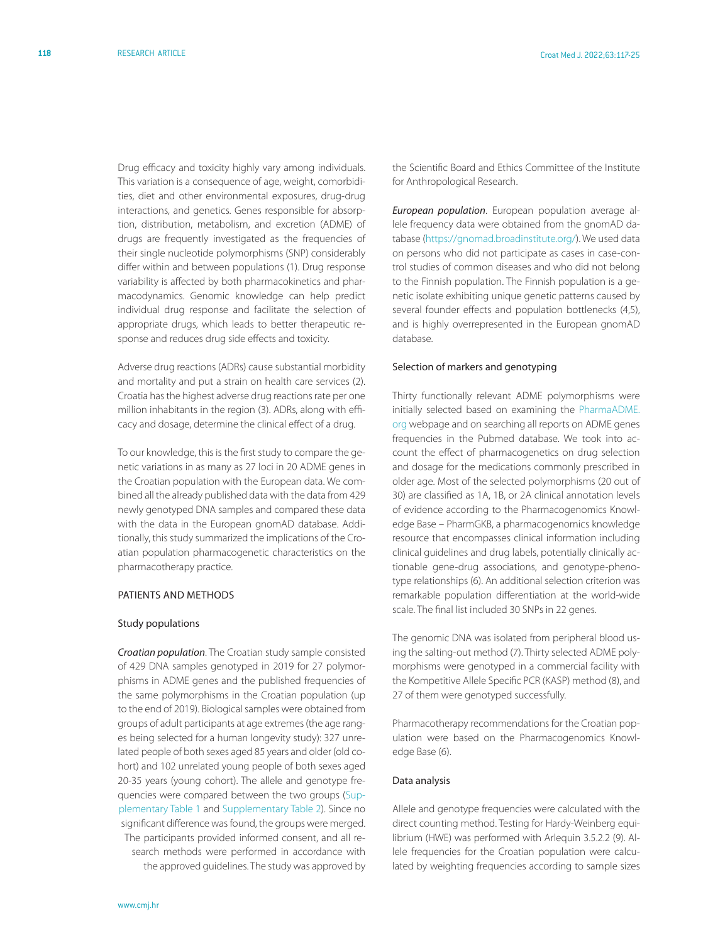Drug efficacy and toxicity highly vary among individuals. This variation is a consequence of age, weight, comorbidities, diet and other environmental exposures, drug-drug interactions, and genetics. Genes responsible for absorption, distribution, metabolism, and excretion (ADME) of drugs are frequently investigated as the frequencies of their single nucleotide polymorphisms (SNP) considerably differ within and between populations (1). Drug response variability is affected by both pharmacokinetics and pharmacodynamics. Genomic knowledge can help predict individual drug response and facilitate the selection of appropriate drugs, which leads to better therapeutic response and reduces drug side effects and toxicity.

Adverse drug reactions (ADRs) cause substantial morbidity and mortality and put a strain on health care services (2). Croatia has the highest adverse drug reactions rate per one million inhabitants in the region (3). ADRs, along with efficacy and dosage, determine the clinical effect of a drug.

To our knowledge, this is the first study to compare the genetic variations in as many as 27 loci in 20 ADME genes in the Croatian population with the European data. We combined all the already published data with the data from 429 newly genotyped DNA samples and compared these data with the data in the European gnomAD database. Additionally, this study summarized the implications of the Croatian population pharmacogenetic characteristics on the pharmacotherapy practice.

#### Patients and methods

## Study populations

*Croatian population*. The Croatian study sample consisted of 429 DNA samples genotyped in 2019 for 27 polymorphisms in ADME genes and the published frequencies of the same polymorphisms in the Croatian population (up to the end of 2019). Biological samples were obtained from groups of adult participants at age extremes (the age ranges being selected for a human longevity study): 327 unrelated people of both sexes aged 85 years and older (old cohort) and 102 unrelated young people of both sexes aged 20-35 years (young cohort). The allele and genotype frequencies were compared between the two groups ([Sup](http://neuron.mefst.hr/docs/CMJ/issues/2022/63/2/celiscak_Supplementary_table_1.pdf)[plementary Table 1](http://neuron.mefst.hr/docs/CMJ/issues/2022/63/2/celiscak_Supplementary_table_1.pdf) and [Supplementary Table 2](http://neuron.mefst.hr/docs/CMJ/issues/2022/63/2/celiscak_Supplementary_table_2.pdf)). Since no significant difference was found, the groups were merged. The participants provided informed consent, and all research methods were performed in accordance with the approved guidelines. The study was approved by

the Scientific Board and Ethics Committee of the Institute for Anthropological Research.

*European population*. European population average allele frequency data were obtained from the gnomAD database [\(https://gnomad.broadinstitute.org/\)](https://gnomad.broadinstitute.org/). We used data on persons who did not participate as cases in case-control studies of common diseases and who did not belong to the Finnish population. The Finnish population is a genetic isolate exhibiting unique genetic patterns caused by several founder effects and population bottlenecks (4,5), and is highly overrepresented in the European gnomAD database.

#### Selection of markers and genotyping

Thirty functionally relevant ADME polymorphisms were initially selected based on examining the [PharmaADME.](PharmaADME.org) [org](PharmaADME.org) webpage and on searching all reports on ADME genes frequencies in the Pubmed database. We took into account the effect of pharmacogenetics on drug selection and dosage for the medications commonly prescribed in older age. Most of the selected polymorphisms (20 out of 30) are classified as 1A, 1B, or 2A clinical annotation levels of evidence according to the Pharmacogenomics Knowledge Base – PharmGKB, a pharmacogenomics knowledge resource that encompasses clinical information including clinical guidelines and drug labels, potentially clinically actionable gene-drug associations, and genotype-phenotype relationships (6). An additional selection criterion was remarkable population differentiation at the world-wide scale. The final list included 30 SNPs in 22 genes.

The genomic DNA was isolated from peripheral blood using the salting-out method (7). Thirty selected ADME polymorphisms were genotyped in a commercial facility with the Kompetitive Allele Specific PCR (KASP) method (8), and 27 of them were genotyped successfully.

Pharmacotherapy recommendations for the Croatian population were based on the Pharmacogenomics Knowledge Base (6).

#### Data analysis

Allele and genotype frequencies were calculated with the direct counting method. Testing for Hardy-Weinberg equilibrium (HWE) was performed with Arlequin 3.5.2.2 (9). Allele frequencies for the Croatian population were calculated by weighting frequencies according to sample sizes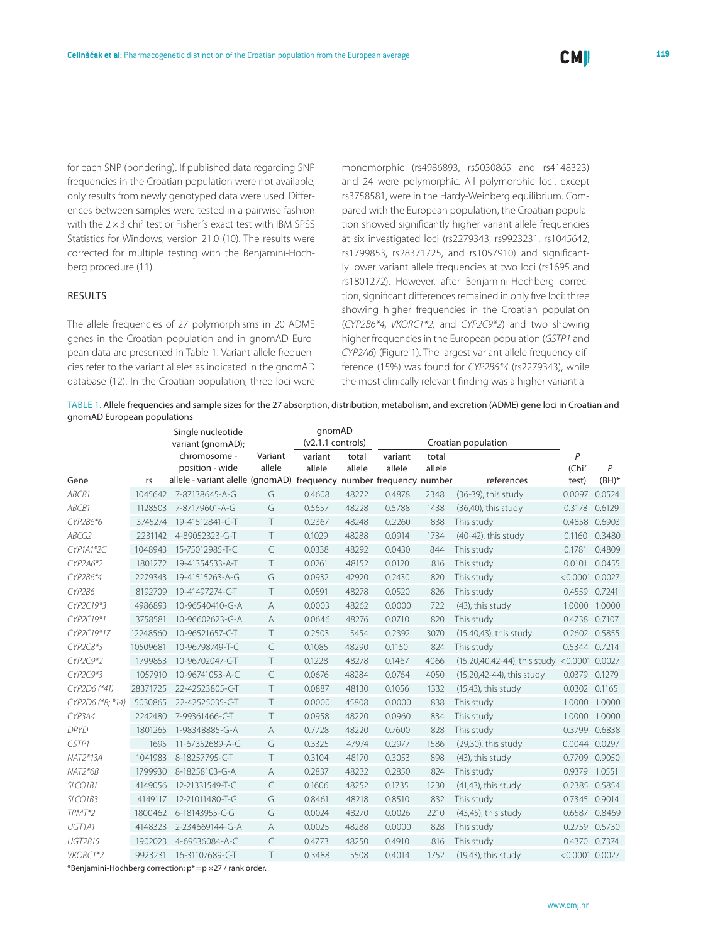for each SNP (pondering). If published data regarding SNP frequencies in the Croatian population were not available, only results from newly genotyped data were used. Differences between samples were tested in a pairwise fashion with the  $2 \times 3$  chi<sup>2</sup> test or Fisher's exact test with IBM SPSS Statistics for Windows, version 21.0 (10). The results were corrected for multiple testing with the Benjamini-Hochberg procedure (11).

# **RESULTS**

The allele frequencies of 27 polymorphisms in 20 ADME genes in the Croatian population and in gnomAD European data are presented in Table 1. Variant allele frequencies refer to the variant alleles as indicated in the gnomAD database (12). In the Croatian population, three loci were monomorphic (rs4986893, rs5030865 and rs4148323) and 24 were polymorphic. All polymorphic loci, except rs3758581, were in the Hardy-Weinberg equilibrium. Compared with the European population, the Croatian population showed significantly higher variant allele frequencies at six investigated loci (rs2279343, rs9923231, rs1045642, rs1799853, rs28371725, and rs1057910) and significantly lower variant allele frequencies at two loci (rs1695 and rs1801272). However, after Benjamini-Hochberg correction, significant differences remained in only five loci: three showing higher frequencies in the Croatian population (*CYP2B6\*4, VKORC1\*2,* and *CYP2C9\*2*) and two showing higher frequencies in the European population (*GSTP1* and *CYP2A6*) (Figure 1). The largest variant allele frequency difference (15%) was found for *CYP2B6\*4* (rs2279343), while the most clinically relevant finding was a higher variant al-

Table 1. Allele frequencies and sample sizes for the 27 absorption, distribution, metabolism, and excretion (ADME) gene loci in Croatian and gnomAD European populations

|                   | Single nucleotide |                                                                    |                     | qnomAD  |                     |         |        |                              |                     |               |
|-------------------|-------------------|--------------------------------------------------------------------|---------------------|---------|---------------------|---------|--------|------------------------------|---------------------|---------------|
| variant (gnomAD); |                   |                                                                    | $(v2.1.1$ controls) |         | Croatian population |         |        |                              |                     |               |
|                   |                   | chromosome -                                                       | Variant             | variant | total               | variant | total  |                              | P                   |               |
|                   |                   | position - wide                                                    | allele              | allele  | allele              | allele  | allele |                              | (Chi <sup>2</sup> ) | P             |
| Gene              | rs                | allele - variant alelle (gnomAD) frequency number frequency number |                     |         |                     |         |        | references                   | test)               | $(BH)^*$      |
| ABCB1             | 1045642           | 7-87138645-A-G                                                     | G                   | 0.4608  | 48272               | 0.4878  | 2348   | (36-39), this study          | 0.0097              | 0.0524        |
| ABCB1             | 1128503           | 7-87179601-A-G                                                     | G                   | 0.5657  | 48228               | 0.5788  | 1438   | $(36,40)$ , this study       | 0.3178              | 0.6129        |
| CYP2B6*6          | 3745274           | 19-41512841-G-T                                                    | T                   | 0.2367  | 48248               | 0.2260  | 838    | This study                   | 0.4858              | 0.6903        |
| ABCG2             | 2231142           | 4-89052323-G-T                                                     | $\top$              | 0.1029  | 48288               | 0.0914  | 1734   | (40-42), this study          | 0.1160              | 0.3480        |
| CYP1A1*2C         | 1048943           | 15-75012985-T-C                                                    | $\subset$           | 0.0338  | 48292               | 0.0430  | 844    | This study                   | 0.1781              | 0.4809        |
| CYP2A6*2          | 1801272           | 19-41354533-A-T                                                    | T                   | 0.0261  | 48152               | 0.0120  | 816    | This study                   | 0.0101              | 0.0455        |
| CYP2B6*4          | 2279343           | 19-41515263-A-G                                                    | G                   | 0.0932  | 42920               | 0.2430  | 820    | This study                   | $< 0.0001$ 0.0027   |               |
| CYP2B6            | 8192709           | 19-41497274-C-T                                                    | $\top$              | 0.0591  | 48278               | 0.0520  | 826    | This study                   | 0.4559 0.7241       |               |
| CYP2C19*3         | 4986893           | 10-96540410-G-A                                                    | $\overline{A}$      | 0.0003  | 48262               | 0.0000  | 722    | (43), this study             | 1.0000              | 1.0000        |
| CYP2C19*1         | 3758581           | 10-96602623-G-A                                                    | A                   | 0.0646  | 48276               | 0.0710  | 820    | This study                   | 0.4738              | 0.7107        |
| CYP2C19*17        | 12248560          | 10-96521657-C-T                                                    | T                   | 0.2503  | 5454                | 0.2392  | 3070   | (15,40,43), this study       | 0.2602              | 0.5855        |
| CYP2C8*3          | 10509681          | 10-96798749-T-C                                                    | $\subset$           | 0.1085  | 48290               | 0.1150  | 824    | This study                   | 0.5344 0.7214       |               |
| CYP2C9*2          | 1799853           | 10-96702047-C-T                                                    | T                   | 0.1228  | 48278               | 0.1467  | 4066   | (15,20,40,42-44), this study | $< 0.0001$ 0.0027   |               |
| CYP2C9*3          | 1057910           | 10-96741053-A-C                                                    | C                   | 0.0676  | 48284               | 0.0764  | 4050   | (15,20,42-44), this study    | 0.0379              | 0.1279        |
| CYP2D6 (*41)      | 28371725          | 22-42523805-C-T                                                    | $\top$              | 0.0887  | 48130               | 0.1056  | 1332   | $(15,43)$ , this study       | 0.0302              | 0.1165        |
| CYP2D6 (*8; *14)  | 5030865           | 22-42525035-C-T                                                    | $\top$              | 0.0000  | 45808               | 0.0000  | 838    | This study                   |                     | 1.0000 1.0000 |
| CYP3A4            | 2242480           | 7-99361466-C-T                                                     | T                   | 0.0958  | 48220               | 0.0960  | 834    | This study                   | 1.0000              | 1.0000        |
| <b>DPYD</b>       | 1801265           | 1-98348885-G-A                                                     | $\overline{A}$      | 0.7728  | 48220               | 0.7600  | 828    | This study                   | 0.3799              | 0.6838        |
| GSTP1             | 1695              | 11-67352689-A-G                                                    | G                   | 0.3325  | 47974               | 0.2977  | 1586   | (29,30), this study          | 0.0044              | 0.0297        |
| NAT2*13A          | 1041983           | 8-18257795-C-T                                                     | T                   | 0.3104  | 48170               | 0.3053  | 898    | (43), this study             | 0.7709              | 0.9050        |
| NAT2*6B           | 1799930           | 8-18258103-G-A                                                     | $\overline{A}$      | 0.2837  | 48232               | 0.2850  | 824    | This study                   | 0.9379              | 1.0551        |
| SLCO1B1           | 4149056           | 12-21331549-T-C                                                    | C                   | 0.1606  | 48252               | 0.1735  | 1230   | (41,43), this study          | 0.2385 0.5854       |               |
| SLCO1B3           | 4149117           | 12-21011480-T-G                                                    | G                   | 0.8461  | 48218               | 0.8510  | 832    | This study                   | 0.7345              | 0.9014        |
| TPMT*2            | 1800462           | 6-18143955-C-G                                                     | G                   | 0.0024  | 48270               | 0.0026  | 2210   | (43,45), this study          | 0.6587              | 0.8469        |
| UGT1A1            | 4148323           | 2-234669144-G-A                                                    | A                   | 0.0025  | 48288               | 0.0000  | 828    | This study                   | 0.2759              | 0.5730        |
| <b>UGT2B15</b>    | 1902023           | 4-69536084-A-C                                                     | C                   | 0.4773  | 48250               | 0.4910  | 816    | This study                   | 0.4370              | 0.7374        |
| VKORC1*2          | 9923231           | 16-31107689-C-T                                                    | $\top$              | 0.3488  | 5508                | 0.4014  | 1752   | $(19,43)$ , this study       | $< 0.0001$ 0.0027   |               |

\*Benjamini-Hochberg correction: p\*=p ×27 / rank order.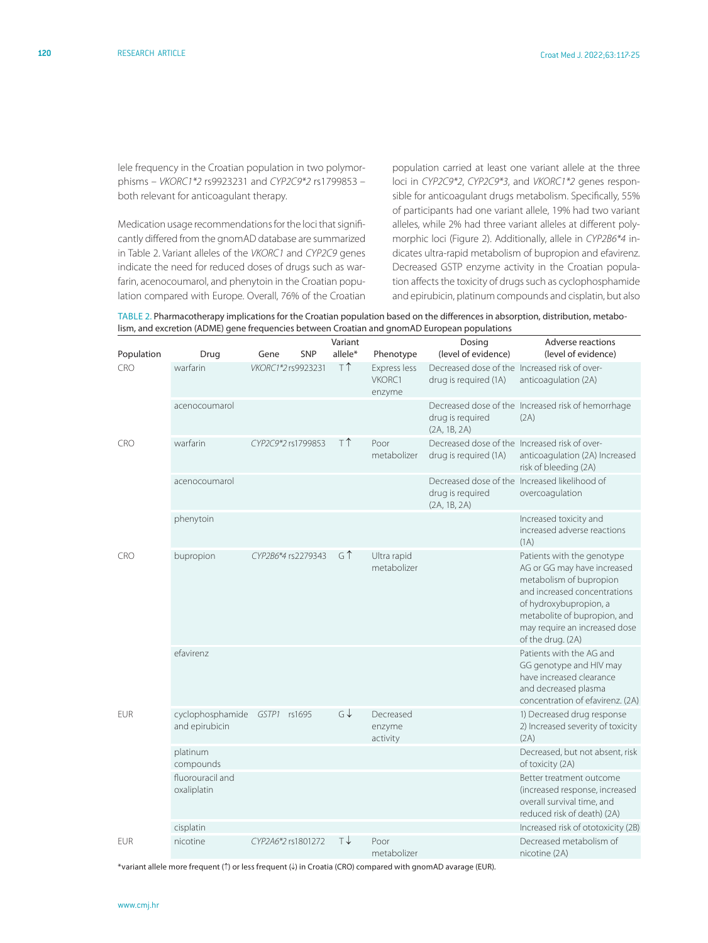lele frequency in the Croatian population in two polymorphisms – *VKORC1\*2* rs9923231 and *CYP2C9\*2* rs1799853 – both relevant for anticoagulant therapy.

Medication usage recommendations for the loci that significantly differed from the gnomAD database are summarized in Table 2. Variant alleles of the *VKORC1* and *CYP2C9* genes indicate the need for reduced doses of drugs such as warfarin, acenocoumarol, and phenytoin in the Croatian population compared with Europe. Overall, 76% of the Croatian population carried at least one variant allele at the three loci in *CYP2C9\*2*, *CYP2C9\*3*, and *VKORC1\*2* genes responsible for anticoagulant drugs metabolism. Specifically, 55% of participants had one variant allele, 19% had two variant alleles, while 2% had three variant alleles at different polymorphic loci (Figure 2). Additionally, allele in *CYP2B6\*4* indicates ultra-rapid metabolism of bupropion and efavirenz. Decreased GSTP enzyme activity in the Croatian population affects the toxicity of drugs such as cyclophosphamide and epirubicin, platinum compounds and cisplatin, but also

| TABLE 2. Pharmacotherapy implications for the Croatian population based on the differences in absorption, distribution, metabo- |
|---------------------------------------------------------------------------------------------------------------------------------|
| lism, and excretion (ADME) gene frequencies between Croatian and gnomAD European populations                                    |

| Population | Drug                               | Gene               | <b>SNP</b> | Variant<br>allele* | Phenotype                        | Dosing<br>(level of evidence)                                          | Adverse reactions<br>(level of evidence)                                                                                                                                                                                             |
|------------|------------------------------------|--------------------|------------|--------------------|----------------------------------|------------------------------------------------------------------------|--------------------------------------------------------------------------------------------------------------------------------------------------------------------------------------------------------------------------------------|
| <b>CRO</b> | warfarin                           | VKORC1*2rs9923231  |            | T <sup>1</sup>     | Express less<br>VKORC1<br>enzyme | Decreased dose of the Increased risk of over-<br>drug is required (1A) | anticoagulation (2A)                                                                                                                                                                                                                 |
|            | acenocoumarol                      |                    |            |                    |                                  | drug is required<br>(2A, 1B, 2A)                                       | Decreased dose of the Increased risk of hemorrhage<br>(2A)                                                                                                                                                                           |
| <b>CRO</b> | warfarin                           | CYP2C9*2 rs1799853 |            | ΤÎ                 | Poor<br>metabolizer              | Decreased dose of the Increased risk of over-<br>drug is required (1A) | anticoagulation (2A) Increased<br>risk of bleeding (2A)                                                                                                                                                                              |
|            | acenocoumarol                      |                    |            |                    |                                  | drug is required<br>(2A, 1B, 2A)                                       | Decreased dose of the Increased likelihood of<br>overcoagulation                                                                                                                                                                     |
|            | phenytoin                          |                    |            |                    |                                  |                                                                        | Increased toxicity and<br>increased adverse reactions<br>(1A)                                                                                                                                                                        |
| <b>CRO</b> | bupropion                          | CYP2B6*4 rs2279343 |            | GT                 | Ultra rapid<br>metabolizer       |                                                                        | Patients with the genotype<br>AG or GG may have increased<br>metabolism of bupropion<br>and increased concentrations<br>of hydroxybupropion, a<br>metabolite of bupropion, and<br>may require an increased dose<br>of the drug. (2A) |
|            | efavirenz                          |                    |            |                    |                                  |                                                                        | Patients with the AG and<br>GG genotype and HIV may<br>have increased clearance<br>and decreased plasma<br>concentration of efavirenz. (2A)                                                                                          |
| <b>EUR</b> | cyclophosphamide<br>and epirubicin | GSTP1              | rs1695     | $G\downarrow$      | Decreased<br>enzyme<br>activity  |                                                                        | 1) Decreased drug response<br>2) Increased severity of toxicity<br>(2A)                                                                                                                                                              |
|            | platinum<br>compounds              |                    |            |                    |                                  |                                                                        | Decreased, but not absent, risk<br>of toxicity (2A)                                                                                                                                                                                  |
|            | fluorouracil and<br>oxaliplatin    |                    |            |                    |                                  |                                                                        | Better treatment outcome<br>(increased response, increased<br>overall survival time, and<br>reduced risk of death) (2A)                                                                                                              |
|            | cisplatin                          |                    |            |                    |                                  |                                                                        | Increased risk of ototoxicity (2B)                                                                                                                                                                                                   |
| <b>EUR</b> | nicotine                           | CYP2A6*2 rs1801272 |            | ⊺↓                 | Poor<br>metabolizer              |                                                                        | Decreased metabolism of<br>nicotine (2A)                                                                                                                                                                                             |

\*variant allele more frequent (↑) or less frequent (↓) in Croatia (CRO) compared with gnomAD avarage (EUR).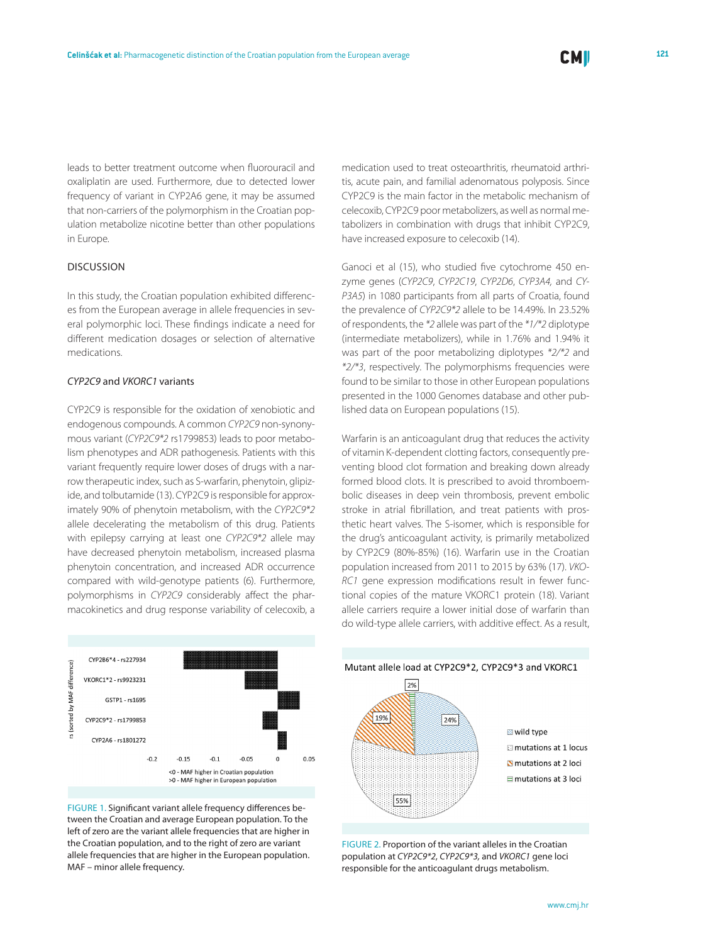leads to better treatment outcome when fluorouracil and oxaliplatin are used. Furthermore, due to detected lower frequency of variant in CYP2A6 gene, it may be assumed that non-carriers of the polymorphism in the Croatian population metabolize nicotine better than other populations in Europe.

# Discussion

In this study, the Croatian population exhibited differences from the European average in allele frequencies in several polymorphic loci. These findings indicate a need for different medication dosages or selection of alternative medications.

# *CYP2C9* and *VKORC1* variants

CYP2C9 is responsible for the oxidation of xenobiotic and endogenous compounds. A common *CYP2C9* non-synonymous variant (*CYP2C9\*2* rs1799853) leads to poor metabolism phenotypes and ADR pathogenesis. Patients with this variant frequently require lower doses of drugs with a narrow therapeutic index, such as S-warfarin, phenytoin, glipizide, and tolbutamide (13). CYP2C9 is responsible for approximately 90% of phenytoin metabolism, with the *CYP2C9\*2* allele decelerating the metabolism of this drug. Patients with epilepsy carrying at least one *CYP2C9\*2* allele may have decreased phenytoin metabolism, increased plasma phenytoin concentration, and increased ADR occurrence compared with wild-genotype patients (6). Furthermore, polymorphisms in *CYP2C9* considerably affect the pharmacokinetics and drug response variability of celecoxib, a



FIGURE 1. Significant variant allele frequency differences between the Croatian and average European population. To the left of zero are the variant allele frequencies that are higher in the Croatian population, and to the right of zero are variant allele frequencies that are higher in the European population. MAF – minor allele frequency.

medication used to treat osteoarthritis, rheumatoid arthritis, acute pain, and familial adenomatous polyposis. Since CYP2C9 is the main factor in the metabolic mechanism of celecoxib, CYP2C9 poor metabolizers, as well as normal metabolizers in combination with drugs that inhibit CYP2C9, have increased exposure to celecoxib (14).

Ganoci et al (15), who studied five cytochrome 450 enzyme genes (*CYP2C9*, *CYP2C19*, *CYP2D6*, *CYP3A4,* and *CY-P3A5*) in 1080 participants from all parts of Croatia, found the prevalence of *CYP2C9\*2* allele to be 14.49%. In 23.52% of respondents, the *\*2* allele was part of the *\*1/\*2* diplotype (intermediate metabolizers), while in 1.76% and 1.94% it was part of the poor metabolizing diplotypes *\*2/\*2* and *\*2/\*3*, respectively. The polymorphisms frequencies were found to be similar to those in other European populations presented in the 1000 Genomes database and other published data on European populations (15).

Warfarin is an anticoagulant drug that reduces the activity of vitamin K-dependent clotting factors, consequently preventing blood clot formation and breaking down already formed blood clots. It is prescribed to avoid thromboembolic diseases in deep vein thrombosis, prevent embolic stroke in atrial fibrillation, and treat patients with prosthetic heart valves. The S-isomer, which is responsible for the drug's anticoagulant activity, is primarily metabolized by CYP2C9 (80%-85%) (16). Warfarin use in the Croatian population increased from 2011 to 2015 by 63% (17). *VKO-RC1* gene expression modifications result in fewer functional copies of the mature VKORC1 protein (18). Variant allele carriers require a lower initial dose of warfarin than do wild-type allele carriers, with additive effect. As a result,



FIGURE 2. Proportion of the variant alleles in the Croatian population at *CYP2C9\*2*, *CYP2C9\*3,* and *VKORC1* gene loci responsible for the anticoagulant drugs metabolism.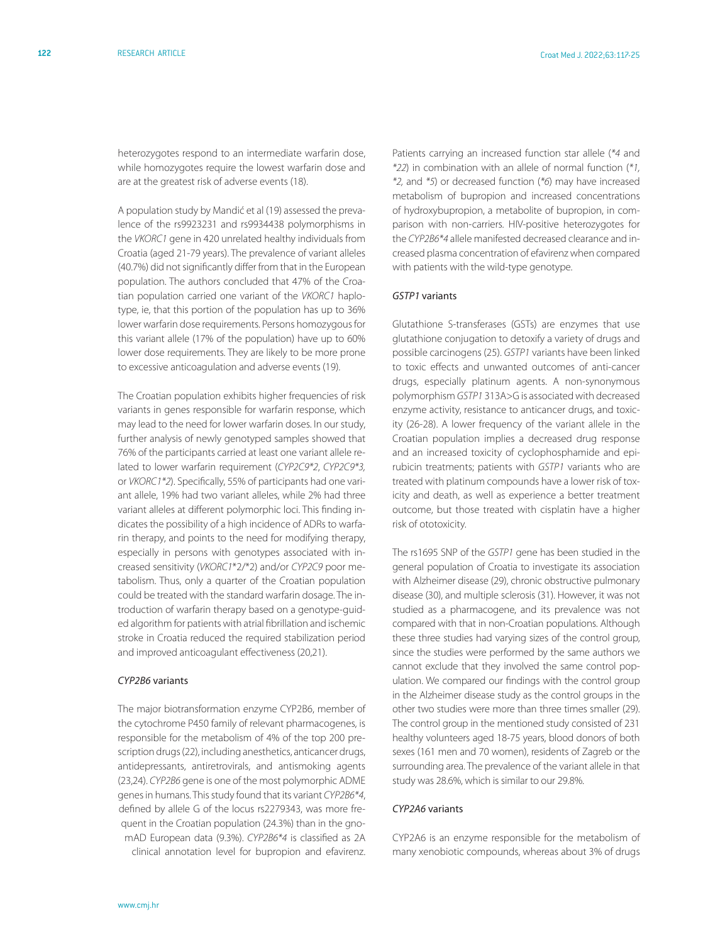heterozygotes respond to an intermediate warfarin dose, while homozygotes require the lowest warfarin dose and are at the greatest risk of adverse events (18).

A population study by Mandić et al (19) assessed the prevalence of the rs9923231 and rs9934438 polymorphisms in the *VKORC1* gene in 420 unrelated healthy individuals from Croatia (aged 21-79 years). The prevalence of variant alleles (40.7%) did not significantly differ from that in the European population. The authors concluded that 47% of the Croatian population carried one variant of the *VKORC1* haplotype, ie, that this portion of the population has up to 36% lower warfarin dose requirements. Persons homozygous for this variant allele (17% of the population) have up to 60% lower dose requirements. They are likely to be more prone to excessive anticoagulation and adverse events (19).

The Croatian population exhibits higher frequencies of risk variants in genes responsible for warfarin response, which may lead to the need for lower warfarin doses. In our study, further analysis of newly genotyped samples showed that 76% of the participants carried at least one variant allele related to lower warfarin requirement (*CYP2C9\*2*, *CYP2C9\*3,* or *VKORC1\*2*). Specifically, 55% of participants had one variant allele, 19% had two variant alleles, while 2% had three variant alleles at different polymorphic loci. This finding indicates the possibility of a high incidence of ADRs to warfarin therapy, and points to the need for modifying therapy, especially in persons with genotypes associated with increased sensitivity (*VKORC1*\*2/\*2) and/or *CYP2C9* poor metabolism. Thus, only a quarter of the Croatian population could be treated with the standard warfarin dosage. The introduction of warfarin therapy based on a genotype-guided algorithm for patients with atrial fibrillation and ischemic stroke in Croatia reduced the required stabilization period and improved anticoagulant effectiveness (20,21).

# *CYP2B6* variants

The major biotransformation enzyme CYP2B6, member of the cytochrome P450 family of relevant pharmacogenes, is responsible for the metabolism of 4% of the top 200 prescription drugs (22), including anesthetics, anticancer drugs, antidepressants, antiretrovirals, and antismoking agents (23,24). *CYP2B6* gene is one of the most polymorphic ADME genes in humans. This study found that its variant *CYP2B6\*4*, defined by allele G of the locus rs2279343, was more frequent in the Croatian population (24.3%) than in the gnomAD European data (9.3%). *CYP2B6\*4* is classified as 2A clinical annotation level for bupropion and efavirenz.

Patients carrying an increased function star allele (*\*4* and *\*22*) in combination with an allele of normal function (*\*1, \*2,* and *\*5*) or decreased function (*\*6*) may have increased metabolism of bupropion and increased concentrations of hydroxybupropion, a metabolite of bupropion, in comparison with non-carriers. HIV-positive heterozygotes for the *CYP2B6\*4* allele manifested decreased clearance and increased plasma concentration of efavirenz when compared with patients with the wild-type genotype.

#### *GSTP1* variants

Glutathione S-transferases (GSTs) are enzymes that use glutathione conjugation to detoxify a variety of drugs and possible carcinogens (25). *GSTP1* variants have been linked to toxic effects and unwanted outcomes of anti-cancer drugs, especially platinum agents. A non-synonymous polymorphism *GSTP1* 313A>G is associated with decreased enzyme activity, resistance to anticancer drugs, and toxicity (26-28). A lower frequency of the variant allele in the Croatian population implies a decreased drug response and an increased toxicity of cyclophosphamide and epirubicin treatments; patients with *GSTP1* variants who are treated with platinum compounds have a lower risk of toxicity and death, as well as experience a better treatment outcome, but those treated with cisplatin have a higher risk of ototoxicity.

The rs1695 SNP of the *GSTP1* gene has been studied in the general population of Croatia to investigate its association with Alzheimer disease (29), chronic obstructive pulmonary disease (30), and multiple sclerosis (31). However, it was not studied as a pharmacogene, and its prevalence was not compared with that in non-Croatian populations. Although these three studies had varying sizes of the control group, since the studies were performed by the same authors we cannot exclude that they involved the same control population. We compared our findings with the control group in the Alzheimer disease study as the control groups in the other two studies were more than three times smaller (29). The control group in the mentioned study consisted of 231 healthy volunteers aged 18-75 years, blood donors of both sexes (161 men and 70 women), residents of Zagreb or the surrounding area. The prevalence of the variant allele in that study was 28.6%, which is similar to our 29.8%.

# *CYP2A6* variants

CYP2A6 is an enzyme responsible for the metabolism of many xenobiotic compounds, whereas about 3% of drugs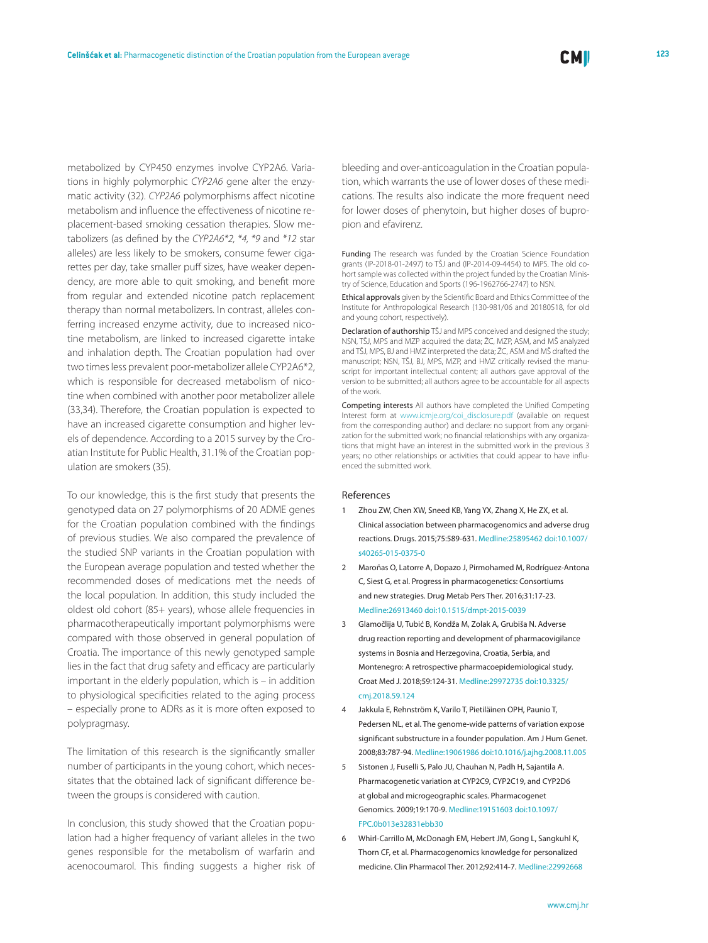metabolized by CYP450 enzymes involve CYP2A6. Variations in highly polymorphic *CYP2A6* gene alter the enzymatic activity (32). *CYP2A6* polymorphisms affect nicotine metabolism and influence the effectiveness of nicotine replacement-based smoking cessation therapies. Slow metabolizers (as defined by the *CYP2A6\*2, \*4, \*9* and *\*12* star alleles) are less likely to be smokers, consume fewer cigarettes per day, take smaller puff sizes, have weaker dependency, are more able to quit smoking, and benefit more from regular and extended nicotine patch replacement therapy than normal metabolizers. In contrast, alleles conferring increased enzyme activity, due to increased nicotine metabolism, are linked to increased cigarette intake and inhalation depth. The Croatian population had over two times less prevalent poor-metabolizer allele CYP2A6\*2, which is responsible for decreased metabolism of nicotine when combined with another poor metabolizer allele (33,34). Therefore, the Croatian population is expected to have an increased cigarette consumption and higher levels of dependence. According to a 2015 survey by the Croatian Institute for Public Health, 31.1% of the Croatian population are smokers (35).

To our knowledge, this is the first study that presents the genotyped data on 27 polymorphisms of 20 ADME genes for the Croatian population combined with the findings of previous studies. We also compared the prevalence of the studied SNP variants in the Croatian population with the European average population and tested whether the recommended doses of medications met the needs of the local population. In addition, this study included the oldest old cohort (85+ years), whose allele frequencies in pharmacotherapeutically important polymorphisms were compared with those observed in general population of Croatia. The importance of this newly genotyped sample lies in the fact that drug safety and efficacy are particularly important in the elderly population, which is – in addition to physiological specificities related to the aging process – especially prone to ADRs as it is more often exposed to polypragmasy.

The limitation of this research is the significantly smaller number of participants in the young cohort, which necessitates that the obtained lack of significant difference between the groups is considered with caution.

In conclusion, this study showed that the Croatian population had a higher frequency of variant alleles in the two genes responsible for the metabolism of warfarin and acenocoumarol. This finding suggests a higher risk of bleeding and over-anticoagulation in the Croatian population, which warrants the use of lower doses of these medications. The results also indicate the more frequent need for lower doses of phenytoin, but higher doses of bupropion and efavirenz.

Funding The research was funded by the Croatian Science Foundation grants (IP-2018-01-2497) to TŠJ and (IP-2014-09-4454) to MPS. The old cohort sample was collected within the project funded by the Croatian Ministry of Science, Education and Sports (196-1962766-2747) to NSN.

Ethical approvals given by the Scientific Board and Ethics Committee of the Institute for Anthropological Research (130-981/06 and 20180518, for old and young cohort, respectively).

Declaration of authorship TŠJ and MPS conceived and designed the study; NSN, TŠJ, MPS and MZP acquired the data; ŽC, MZP, ASM, and MŠ analyzed and TŠJ, MPS, BJ and HMZ interpreted the data; ŽC, ASM and MŠ drafted the manuscript; NSN, TŠJ, BJ, MPS, MZP, and HMZ critically revised the manuscript for important intellectual content; all authors gave approval of the version to be submitted; all authors agree to be accountable for all aspects of the work.

Competing interests All authors have completed the Unified Competing Interest form at www.icmie.org/coi\_disclosure.pdf (available on request from the corresponding author) and declare: no support from any organization for the submitted work; no financial relationships with any organizations that might have an interest in the submitted work in the previous 3 years; no other relationships or activities that could appear to have influenced the submitted work.

#### References

- 1 Zhou ZW, Chen XW, Sneed KB, Yang YX, Zhang X, He ZX, et al. Clinical association between pharmacogenomics and adverse drug reactions. Drugs. 2015;75:589-631[. Medline:25895462](https://www.ncbi.nlm.nih.gov/entrez/query.fcgi?cmd=Retrieve&db=PubMed&list_uids=25895462&dopt=Abstract) [doi:10.1007/](https://doi.org/10.1007/s40265-015-0375-0) [s40265-015-0375-0](https://doi.org/10.1007/s40265-015-0375-0)
- 2 Maroñas O, Latorre A, Dopazo J, Pirmohamed M, Rodríguez-Antona C, Siest G, et al. Progress in pharmacogenetics: Consortiums and new strategies. Drug Metab Pers Ther. 2016;31:17-23[.](https://www.ncbi.nlm.nih.gov/entrez/query.fcgi?cmd=Retrieve&db=PubMed&list_uids=26913460&dopt=Abstract) [Medline:26913460](https://www.ncbi.nlm.nih.gov/entrez/query.fcgi?cmd=Retrieve&db=PubMed&list_uids=26913460&dopt=Abstract) [doi:10.1515/dmpt-2015-0039](https://doi.org/10.1515/dmpt-2015-0039)
- 3 Glamočlija U, Tubić B, Kondža M, Zolak A, Grubiša N. Adverse drug reaction reporting and development of pharmacovigilance systems in Bosnia and Herzegovina, Croatia, Serbia, and Montenegro: A retrospective pharmacoepidemiological study. Croat Med J. 2018;59:124-31[. Medline:29972735](https://www.ncbi.nlm.nih.gov/entrez/query.fcgi?cmd=Retrieve&db=PubMed&list_uids=29972735&dopt=Abstract) [doi:10.3325/](https://doi.org/10.3325/cmj.2018.59.124) [cmj.2018.59.124](https://doi.org/10.3325/cmj.2018.59.124)
- 4 Jakkula E, Rehnström K, Varilo T, Pietiläinen OPH, Paunio T, Pedersen NL, et al. The genome-wide patterns of variation expose significant substructure in a founder population. Am J Hum Genet. 2008;83:787-94. [Medline:19061986](https://www.ncbi.nlm.nih.gov/entrez/query.fcgi?cmd=Retrieve&db=PubMed&list_uids=19061986&dopt=Abstract) [doi:10.1016/j.ajhg.2008.11.005](https://doi.org/10.1016/j.ajhg.2008.11.005)
- 5 Sistonen J, Fuselli S, Palo JU, Chauhan N, Padh H, Sajantila A. Pharmacogenetic variation at CYP2C9, CYP2C19, and CYP2D6 at global and microgeographic scales. Pharmacogenet Genomics. 2009;19:170-9[. Medline:19151603](https://www.ncbi.nlm.nih.gov/entrez/query.fcgi?cmd=Retrieve&db=PubMed&list_uids=19151603&dopt=Abstract) [doi:10.1097/](https://doi.org/10.1097/FPC.0b013e32831ebb30) [FPC.0b013e32831ebb30](https://doi.org/10.1097/FPC.0b013e32831ebb30)
- 6 Whirl-Carrillo M, McDonagh EM, Hebert JM, Gong L, Sangkuhl K, Thorn CF, et al. Pharmacogenomics knowledge for personalized medicine. Clin Pharmacol Ther. 2012;92:414-7. [Medline:22992668](https://www.ncbi.nlm.nih.gov/entrez/query.fcgi?cmd=Retrieve&db=PubMed&list_uids=22992668&dopt=Abstract)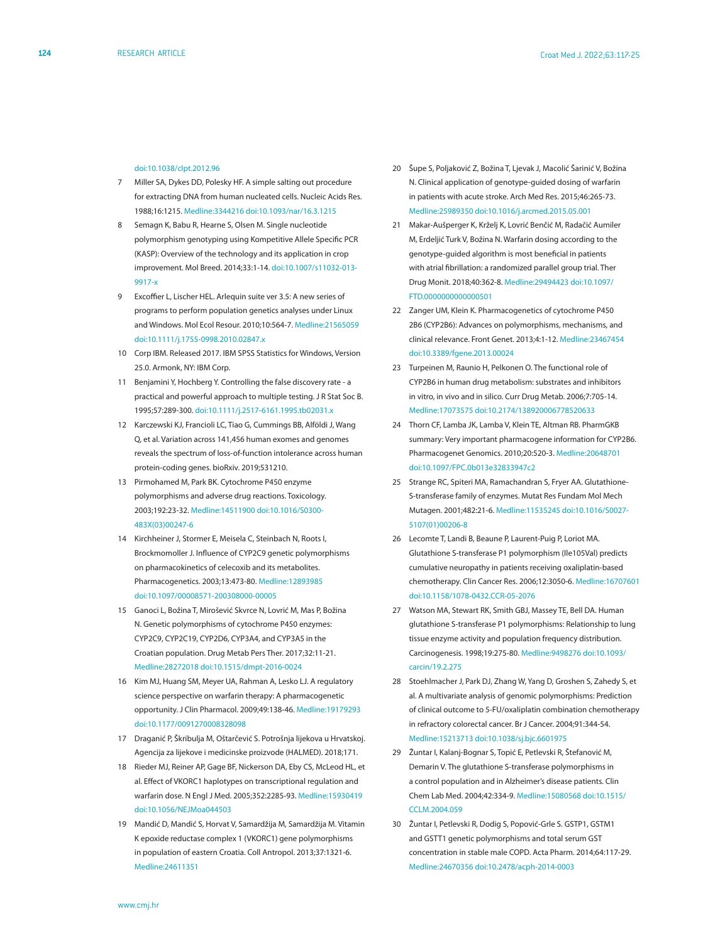#### [doi:10.1038/clpt.2012.96](https://doi.org/10.1038/clpt.2012.96)

- 7 Miller SA, Dykes DD, Polesky HF. A simple salting out procedure for extracting DNA from human nucleated cells. Nucleic Acids Res. 1988;16:1215[. Medline:3344216](https://www.ncbi.nlm.nih.gov/entrez/query.fcgi?cmd=Retrieve&db=PubMed&list_uids=3344216&dopt=Abstract) [doi:10.1093/nar/16.3.1215](https://doi.org/10.1093/nar/16.3.1215)
- 8 Semagn K, Babu R, Hearne S, Olsen M. Single nucleotide polymorphism genotyping using Kompetitive Allele Specific PCR (KASP): Overview of the technology and its application in crop improvement. Mol Breed. 2014;33:1-14. [doi:10.1007/s11032-013-](https://doi.org/10.1007/s11032-013-9917-x) [9917-x](https://doi.org/10.1007/s11032-013-9917-x)
- 9 Excoffier L, Lischer HEL. Arlequin suite ver 3.5: A new series of programs to perform population genetics analyses under Linux and Windows. Mol Ecol Resour. 2010;10:564-7. [Medline:21565059](https://www.ncbi.nlm.nih.gov/entrez/query.fcgi?cmd=Retrieve&db=PubMed&list_uids=21565059&dopt=Abstract) [doi:10.1111/j.1755-0998.2010.02847.x](https://doi.org/10.1111/j.1755-0998.2010.02847.x)
- 10 Corp IBM. Released 2017. IBM SPSS Statistics for Windows, Version 25.0. Armonk, NY: IBM Corp.
- 11 Benjamini Y, Hochberg Y. Controlling the false discovery rate a practical and powerful approach to multiple testing. J R Stat Soc B. 1995;57:289-300. [doi:10.1111/j.2517-6161.1995.tb02031.x](https://doi.org/10.1111/j.2517-6161.1995.tb02031.x)
- 12 Karczewski KJ, Francioli LC, Tiao G, Cummings BB, Alföldi J, Wang Q, et al. Variation across 141,456 human exomes and genomes reveals the spectrum of loss-of-function intolerance across human protein-coding genes. bioRxiv. 2019;531210.
- 13 Pirmohamed M, Park BK. Cytochrome P450 enzyme polymorphisms and adverse drug reactions. Toxicology. 2003;192:23-32[. Medline:14511900](https://www.ncbi.nlm.nih.gov/entrez/query.fcgi?cmd=Retrieve&db=PubMed&list_uids=14511900&dopt=Abstract) [doi:10.1016/S0300-](https://doi.org/10.1016/S0300-483X(03)00247-6) [483X\(03\)00247-6](https://doi.org/10.1016/S0300-483X(03)00247-6)
- 14 Kirchheiner J, Stormer E, Meisela C, Steinbach N, Roots I, Brockmomoller J. Influence of CYP2C9 genetic polymorphisms on pharmacokinetics of celecoxib and its metabolites. Pharmacogenetics. 2003;13:473-80[. Medline:12893985](https://www.ncbi.nlm.nih.gov/entrez/query.fcgi?cmd=Retrieve&db=PubMed&list_uids=12893985&dopt=Abstract) [doi:10.1097/00008571-200308000-00005](https://doi.org/10.1097/00008571-200308000-00005)
- 15 Ganoci L, Božina T, Mirošević Skvrce N, Lovrić M, Mas P, Božina N. Genetic polymorphisms of cytochrome P450 enzymes: CYP2C9, CYP2C19, CYP2D6, CYP3A4, and CYP3A5 in the Croatian population. Drug Metab Pers Ther. 2017;32:11-21. [Medline:28272018](https://www.ncbi.nlm.nih.gov/entrez/query.fcgi?cmd=Retrieve&db=PubMed&list_uids=28272018&dopt=Abstract) [doi:10.1515/dmpt-2016-0024](https://doi.org/10.1515/dmpt-2016-0024)
- 16 Kim MJ, Huang SM, Meyer UA, Rahman A, Lesko LJ. A regulatory science perspective on warfarin therapy: A pharmacogenetic opportunity. J Clin Pharmacol. 2009;49:138-46[. Medline:19179293](https://www.ncbi.nlm.nih.gov/entrez/query.fcgi?cmd=Retrieve&db=PubMed&list_uids=19179293&dopt=Abstract) [doi:10.1177/0091270008328098](https://doi.org/10.1177/0091270008328098)
- 17 Draganić P, Škribulja M, Oštarčević S. Potrošnja lijekova u Hrvatskoj. Agencija za lijekove i medicinske proizvode (HALMED). 2018;171.
- 18 Rieder MJ, Reiner AP, Gage BF, Nickerson DA, Eby CS, McLeod HL, et al. Effect of VKORC1 haplotypes on transcriptional regulation and warfarin dose. N Engl J Med. 2005;352:2285-93. [Medline:15930419](https://www.ncbi.nlm.nih.gov/entrez/query.fcgi?cmd=Retrieve&db=PubMed&list_uids=15930419&dopt=Abstract) [doi:10.1056/NEJMoa044503](https://doi.org/10.1056/NEJMoa044503)
- 19 Mandić D, Mandić S, Horvat V, Samardžija M, Samardžija M. Vitamin K epoxide reductase complex 1 (VKORC1) gene polymorphisms in population of eastern Croatia. Coll Antropol. 2013;37:1321-6. [Medline:24611351](https://www.ncbi.nlm.nih.gov/entrez/query.fcgi?cmd=Retrieve&db=PubMed&list_uids=24611351&dopt=Abstract)
- 20 Šupe S, Poljaković Z, Božina T, Ljevak J, Macolić Šarinić V, Božina N. Clinical application of genotype-guided dosing of warfarin in patients with acute stroke. Arch Med Res. 2015;46:265-73. [Medline:25989350](https://www.ncbi.nlm.nih.gov/entrez/query.fcgi?cmd=Retrieve&db=PubMed&list_uids=25989350&dopt=Abstract) [doi:10.1016/j.arcmed.2015.05.001](https://doi.org/10.1016/j.arcmed.2015.05.001)
- 21 Makar-Aušperger K, Krželj K, Lovrić Benčić M, Radačić Aumiler M, Erdeljić Turk V, Božina N. Warfarin dosing according to the genotype-guided algorithm is most beneficial in patients with atrial fibrillation: a randomized parallel group trial. Ther Drug Monit. 2018;40:362-8[. Medline:29494423](https://www.ncbi.nlm.nih.gov/entrez/query.fcgi?cmd=Retrieve&db=PubMed&list_uids=29494423&dopt=Abstract) [doi:10.1097/](https://doi.org/10.1097/FTD.0000000000000501) [FTD.0000000000000501](https://doi.org/10.1097/FTD.0000000000000501)
- 22 Zanger UM, Klein K. Pharmacogenetics of cytochrome P450 2B6 (CYP2B6): Advances on polymorphisms, mechanisms, and clinical relevance. Front Genet. 2013;4:1-12. [Medline:23467454](https://www.ncbi.nlm.nih.gov/entrez/query.fcgi?cmd=Retrieve&db=PubMed&list_uids=23467454&dopt=Abstract) [doi:10.3389/fgene.2013.00024](https://doi.org/10.3389/fgene.2013.00024)
- 23 Turpeinen M, Raunio H, Pelkonen O. The functional role of CYP2B6 in human drug metabolism: substrates and inhibitors in vitro, in vivo and in silico. Curr Drug Metab. 2006;7:705-14[.](https://www.ncbi.nlm.nih.gov/entrez/query.fcgi?cmd=Retrieve&db=PubMed&list_uids=17073575&dopt=Abstract) [Medline:17073575](https://www.ncbi.nlm.nih.gov/entrez/query.fcgi?cmd=Retrieve&db=PubMed&list_uids=17073575&dopt=Abstract) [doi:10.2174/138920006778520633](https://doi.org/10.2174/138920006778520633)
- 24 Thorn CF, Lamba JK, Lamba V, Klein TE, Altman RB. PharmGKB summary: Very important pharmacogene information for CYP2B6. Pharmacogenet Genomics. 2010;20:520-3. [Medline:20648701](https://www.ncbi.nlm.nih.gov/entrez/query.fcgi?cmd=Retrieve&db=PubMed&list_uids=20648701&dopt=Abstract) [doi:10.1097/FPC.0b013e32833947c2](https://doi.org/10.1097/FPC.0b013e32833947c2)
- 25 Strange RC, Spiteri MA, Ramachandran S, Fryer AA. Glutathione-S-transferase family of enzymes. Mutat Res Fundam Mol Mech Mutagen. 2001;482:21-6[. Medline:11535245](https://www.ncbi.nlm.nih.gov/entrez/query.fcgi?cmd=Retrieve&db=PubMed&list_uids=11535245&dopt=Abstract) [doi:10.1016/S0027-](https://doi.org/10.1016/S0027-5107(01)00206-8) [5107\(01\)00206-8](https://doi.org/10.1016/S0027-5107(01)00206-8)
- 26 Lecomte T, Landi B, Beaune P, Laurent-Puig P, Loriot MA. Glutathione S-transferase P1 polymorphism (Ile105Val) predicts cumulative neuropathy in patients receiving oxaliplatin-based chemotherapy. Clin Cancer Res. 2006;12:3050-6. [Medline:16707601](https://www.ncbi.nlm.nih.gov/entrez/query.fcgi?cmd=Retrieve&db=PubMed&list_uids=16707601&dopt=Abstract) [doi:10.1158/1078-0432.CCR-05-2076](https://doi.org/10.1158/1078-0432.CCR-05-2076)
- 27 Watson MA, Stewart RK, Smith GBJ, Massey TE, Bell DA. Human glutathione S-transferase P1 polymorphisms: Relationship to lung tissue enzyme activity and population frequency distribution. Carcinogenesis. 1998;19:275-80[. Medline:9498276](https://www.ncbi.nlm.nih.gov/entrez/query.fcgi?cmd=Retrieve&db=PubMed&list_uids=9498276&dopt=Abstract) [doi:10.1093/](https://doi.org/10.1093/carcin/19.2.275) [carcin/19.2.275](https://doi.org/10.1093/carcin/19.2.275)
- 28 Stoehlmacher J, Park DJ, Zhang W, Yang D, Groshen S, Zahedy S, et al. A multivariate analysis of genomic polymorphisms: Prediction of clinical outcome to 5-FU/oxaliplatin combination chemotherapy in refractory colorectal cancer. Br J Cancer. 2004;91:344-54. [Medline:15213713](https://www.ncbi.nlm.nih.gov/entrez/query.fcgi?cmd=Retrieve&db=PubMed&list_uids=15213713&dopt=Abstract) [doi:10.1038/sj.bjc.6601975](https://doi.org/10.1038/sj.bjc.6601975)
- 29 Žuntar I, Kalanj-Bognar S, Topić E, Petlevski R, Štefanović M, Demarin V. The glutathione S-transferase polymorphisms in a control population and in Alzheimer's disease patients. Clin Chem Lab Med. 2004;42:334-9. [Medline:15080568](https://www.ncbi.nlm.nih.gov/entrez/query.fcgi?cmd=Retrieve&db=PubMed&list_uids=15080568&dopt=Abstract) [doi:10.1515/](https://doi.org/10.1515/CCLM.2004.059) [CCLM.2004.059](https://doi.org/10.1515/CCLM.2004.059)
- 30 Žuntar I, Petlevski R, Dodig S, Popović-Grle S. GSTP1, GSTM1 and GSTT1 genetic polymorphisms and total serum GST concentration in stable male COPD. Acta Pharm. 2014;64:117-29[.](https://www.ncbi.nlm.nih.gov/entrez/query.fcgi?cmd=Retrieve&db=PubMed&list_uids=24670356&dopt=Abstract) [Medline:24670356](https://www.ncbi.nlm.nih.gov/entrez/query.fcgi?cmd=Retrieve&db=PubMed&list_uids=24670356&dopt=Abstract) [doi:10.2478/acph-2014-0003](https://doi.org/10.2478/acph-2014-0003)